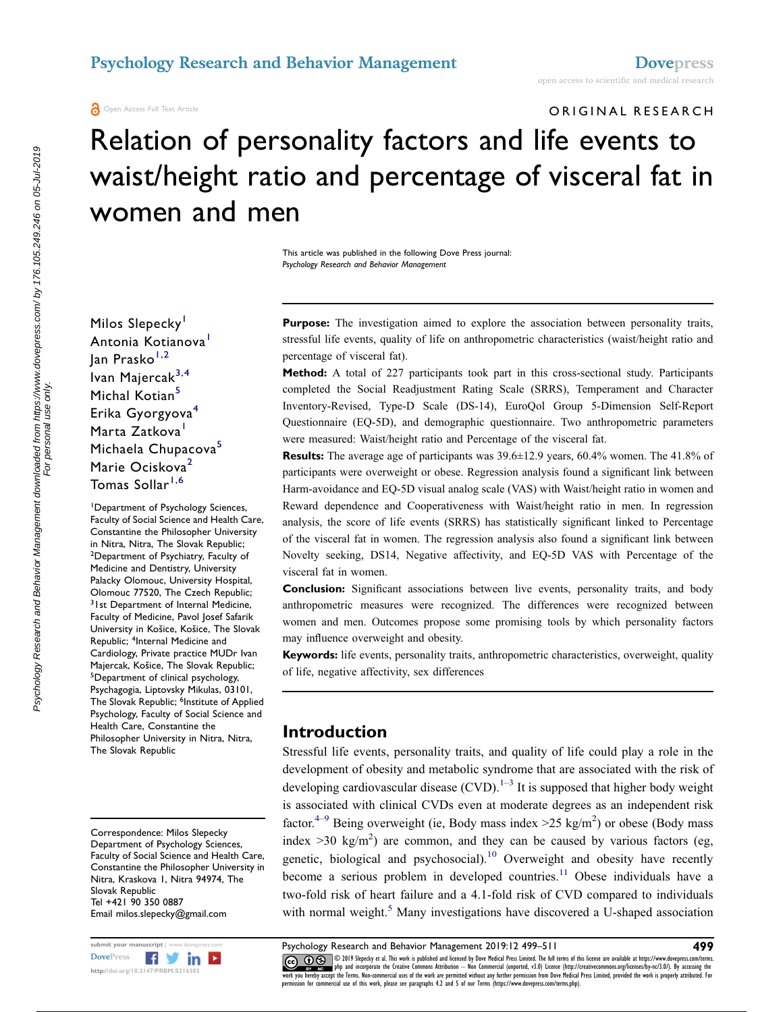**a** Open Access Full Text Article

ORIGINAL RESEARCH

# Relation of personality factors and life events to waist/height ratio and percentage of visceral fat in women and men

This article was published in the following Dove Press journal: Psychology Research and Behavior Management

Milos Slepecky<sup>[1](#page-0-0)</sup> Antonia Kotianova<sup>[1](#page-0-0)</sup> lan Prasko<sup>[1,](#page-0-0)[2](#page-0-1)</sup> Ivan Majercak<sup>[3,](#page-0-2)[4](#page-0-3)</sup> Michal Kotian<sup>[5](#page-0-4)</sup> Erika Gyorgyova[4](#page-0-3) Marta Zatkova<sup>[1](#page-0-0)</sup> Michaela Chupacova<sup>[5](#page-0-4)</sup> Marie Ociskova<sup>[2](#page-0-1)</sup> Tomas Sollar<sup>[1](#page-0-0)[,6](#page-0-5)</sup>

<span id="page-0-3"></span><span id="page-0-2"></span><span id="page-0-1"></span><span id="page-0-0"></span>1 Department of Psychology Sciences, Faculty of Social Science and Health Care, Constantine the Philosopher University in Nitra, Nitra, The Slovak Republic; <sup>2</sup>Department of Psychiatry, Faculty of Medicine and Dentistry, University Palacky Olomouc, University Hospital, Olomouc 77520, The Czech Republic; <sup>3</sup> Ist Department of Internal Medicine, Faculty of Medicine, Pavol Josef Safarik University in Košice, Košice, The Slovak Republic; <sup>4</sup>Internal Medicine and Cardiology, Private practice MUDr Ivan Majercak, Košice, The Slovak Republic; <sup>5</sup>Department of clinical psychology, Psychagogia, Liptovsky Mikulas, 03101, The Slovak Republic; <sup>6</sup>Institute of Applied Psychology, Faculty of Social Science and Health Care, Constantine the Philosopher University in Nitra, Nitra, The Slovak Republic

<span id="page-0-5"></span><span id="page-0-4"></span>Correspondence: Milos Slepecky Department of Psychology Sciences, Faculty of Social Science and Health Care, Constantine the Philosopher University in Nitra, Kraskova 1, Nitra 94974, The Slovak Republic Tel +421 90 350 0887 Email milos.slepecky@gmail.com



Purpose: The investigation aimed to explore the association between personality traits, stressful life events, quality of life on anthropometric characteristics (waist/height ratio and percentage of visceral fat).

Method: A total of 227 participants took part in this cross-sectional study. Participants completed the Social Readjustment Rating Scale (SRRS), Temperament and Character Inventory-Revised, Type-D Scale (DS-14), EuroQol Group 5-Dimension Self-Report Questionnaire (EQ-5D), and demographic questionnaire. Two anthropometric parameters were measured: Waist/height ratio and Percentage of the visceral fat.

Results: The average age of participants was 39.6±12.9 years, 60.4% women. The 41.8% of participants were overweight or obese. Regression analysis found a significant link between Harm-avoidance and EQ-5D visual analog scale (VAS) with Waist/height ratio in women and Reward dependence and Cooperativeness with Waist/height ratio in men. In regression analysis, the score of life events (SRRS) has statistically significant linked to Percentage of the visceral fat in women. The regression analysis also found a significant link between Novelty seeking, DS14, Negative affectivity, and EQ-5D VAS with Percentage of the visceral fat in women.

Conclusion: Significant associations between live events, personality traits, and body anthropometric measures were recognized. The differences were recognized between women and men. Outcomes propose some promising tools by which personality factors may influence overweight and obesity.

Keywords: life events, personality traits, anthropometric characteristics, overweight, quality of life, negative affectivity, sex differences

### Introduction

<span id="page-0-7"></span><span id="page-0-6"></span>Stressful life events, personality traits, and quality of life could play a role in the development of obesity and metabolic syndrome that are associated with the risk of developing cardiovascular disease  $(CVD)$ .<sup>[1](#page-9-0)–[3](#page-9-1)</sup> It is supposed that higher body weight is associated with clinical CVDs even at moderate degrees as an independent risk factor.<sup>4-[9](#page-9-3)</sup> Being overweight (ie, Body mass index  $>$ 25 kg/m<sup>2</sup>) or obese (Body mass index >30 kg/m<sup>2</sup>) are common, and they can be caused by various factors (eg, genetic, biological and psychosocial).<sup>[10](#page-9-4)</sup> Overweight and obesity have recently become a serious problem in developed countries.<sup>[11](#page-9-5)</sup> Obese individuals have a two-fold risk of heart failure and a 4.1-fold risk of CVD compared to individuals with normal weight.<sup>[5](#page-9-6)</sup> Many investigations have discovered a U-shaped association

submit your manuscript | www.dovepress.com Psychology Research and Behavior Management 2019:12 499–511 499<br>DovePress **Property of the CCC** 10 Sepecty et al. This work is published and licensed by Dove Medical Press Limited DOVER ENGINEER OF 1999 AND SUPPORT ALL This work is published and licensed by Dove Medical Press Limited. The full terms of this license are available at https://www.dovepress.com/terms.<br>http://doi.org/10.2147/PRBM.5214303 ission for commercial use of this work, please see paragraphs 4.2 and 5 of our Terms (https://www.dovepress.com/terms.php).

<span id="page-0-10"></span><span id="page-0-9"></span><span id="page-0-8"></span>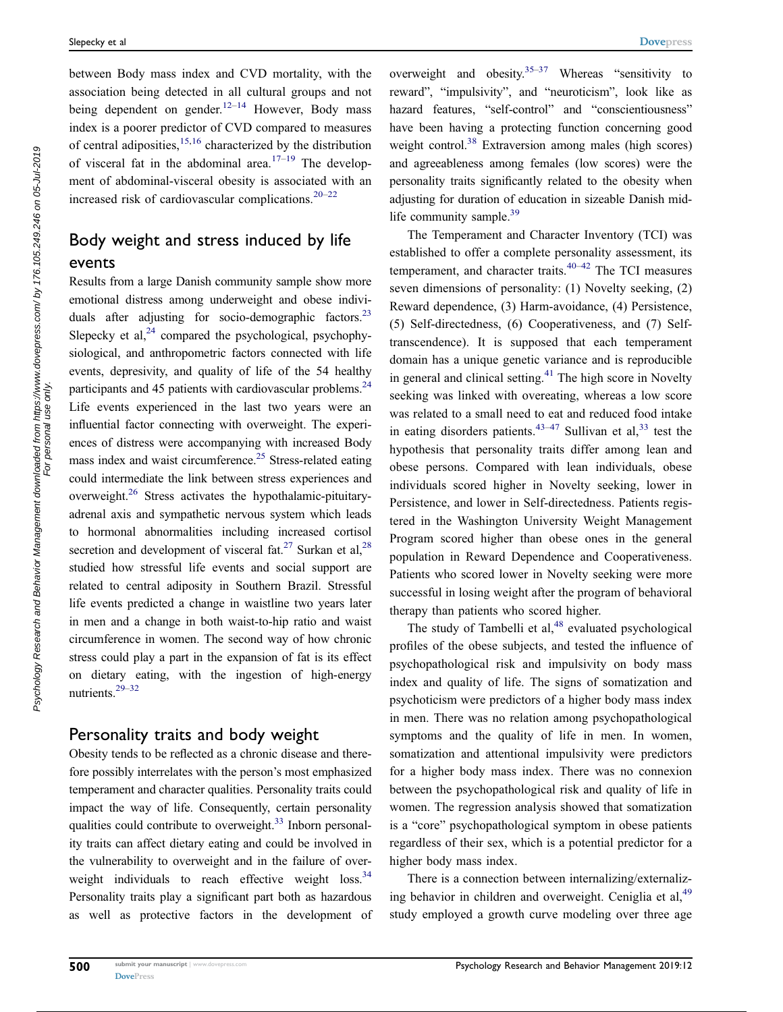<span id="page-1-2"></span><span id="page-1-1"></span><span id="page-1-0"></span>between Body mass index and CVD mortality, with the association being detected in all cultural groups and not being dependent on gender.<sup>[12](#page-9-7)-[14](#page-9-8)</sup> However, Body mass index is a poorer predictor of CVD compared to measures of central adiposities, $15,16$  $15,16$  $15,16$  characterized by the distribution of visceral fat in the abdominal area.<sup>[17](#page-9-11)–[19](#page-10-0)</sup> The development of abdominal-visceral obesity is associated with an increased risk of cardiovascular complications.  $20-22$  $20-22$  $20-22$ 

## <span id="page-1-3"></span>Body weight and stress induced by life events

<span id="page-1-7"></span><span id="page-1-6"></span><span id="page-1-5"></span><span id="page-1-4"></span>Results from a large Danish community sample show more emotional distress among underweight and obese individuals after adjusting for socio-demographic factors.<sup>23</sup> Slepecky et al, $^{24}$  compared the psychological, psychophysiological, and anthropometric factors connected with life events, depresivity, and quality of life of the 54 healthy participants and 45 patients with cardiovascular problems.<sup>24</sup> Life events experienced in the last two years were an influential factor connecting with overweight. The experiences of distress were accompanying with increased Body mass index and waist circumference.<sup>25</sup> Stress-related eating could intermediate the link between stress experiences and overweight[.26](#page-10-6) Stress activates the hypothalamic-pituitaryadrenal axis and sympathetic nervous system which leads to hormonal abnormalities including increased cortisol secretion and development of visceral fat.<sup>[27](#page-10-7)</sup> Surkan et al,<sup>28</sup> studied how stressful life events and social support are related to central adiposity in Southern Brazil. Stressful life events predicted a change in waistline two years later in men and a change in both waist-to-hip ratio and waist circumference in women. The second way of how chronic stress could play a part in the expansion of fat is its effect on dietary eating, with the ingestion of high-energy nutrients[.29](#page-10-9)–[32](#page-10-10)

### <span id="page-1-9"></span><span id="page-1-8"></span>Personality traits and body weight

<span id="page-1-11"></span>Obesity tends to be reflected as a chronic disease and therefore possibly interrelates with the person's most emphasized temperament and character qualities. Personality traits could impact the way of life. Consequently, certain personality qualities could contribute to overweight.<sup>[33](#page-10-11)</sup> Inborn personality traits can affect dietary eating and could be involved in the vulnerability to overweight and in the failure of overweight individuals to reach effective weight loss.<sup>34</sup> Personality traits play a significant part both as hazardous as well as protective factors in the development of <span id="page-1-13"></span><span id="page-1-12"></span>overweight and obesity.<sup>35–[37](#page-10-14)</sup> Whereas "sensitivity to reward", "impulsivity", and "neuroticism", look like as hazard features, "self-control" and "conscientiousness" have been having a protecting function concerning good weight control.<sup>38</sup> Extraversion among males (high scores) and agreeableness among females (low scores) were the personality traits significantly related to the obesity when adjusting for duration of education in sizeable Danish midlife community sample. $39$ 

<span id="page-1-16"></span><span id="page-1-15"></span><span id="page-1-14"></span><span id="page-1-10"></span>The Temperament and Character Inventory (TCI) was established to offer a complete personality assessment, its temperament, and character traits.<sup>[40](#page-10-17)–[42](#page-10-18)</sup> The TCI measures seven dimensions of personality: (1) Novelty seeking, (2) Reward dependence, (3) Harm-avoidance, (4) Persistence, (5) Self-directedness, (6) Cooperativeness, and (7) Selftranscendence). It is supposed that each temperament domain has a unique genetic variance and is reproducible in general and clinical setting.<sup>[41](#page-10-19)</sup> The high score in Novelty seeking was linked with overeating, whereas a low score was related to a small need to eat and reduced food intake in eating disorders patients. $43-47$  $43-47$  $43-47$  Sullivan et al,  $33$  test the hypothesis that personality traits differ among lean and obese persons. Compared with lean individuals, obese individuals scored higher in Novelty seeking, lower in Persistence, and lower in Self-directedness. Patients registered in the Washington University Weight Management Program scored higher than obese ones in the general population in Reward Dependence and Cooperativeness. Patients who scored lower in Novelty seeking were more successful in losing weight after the program of behavioral therapy than patients who scored higher.

<span id="page-1-17"></span>The study of Tambelli et al,<sup>48</sup> evaluated psychological profiles of the obese subjects, and tested the influence of psychopathological risk and impulsivity on body mass index and quality of life. The signs of somatization and psychoticism were predictors of a higher body mass index in men. There was no relation among psychopathological symptoms and the quality of life in men. In women, somatization and attentional impulsivity were predictors for a higher body mass index. There was no connexion between the psychopathological risk and quality of life in women. The regression analysis showed that somatization is a "core" psychopathological symptom in obese patients regardless of their sex, which is a potential predictor for a higher body mass index.

<span id="page-1-18"></span>There is a connection between internalizing/externaliz-ing behavior in children and overweight. Ceniglia et al,<sup>[49](#page-10-23)</sup> study employed a growth curve modeling over three age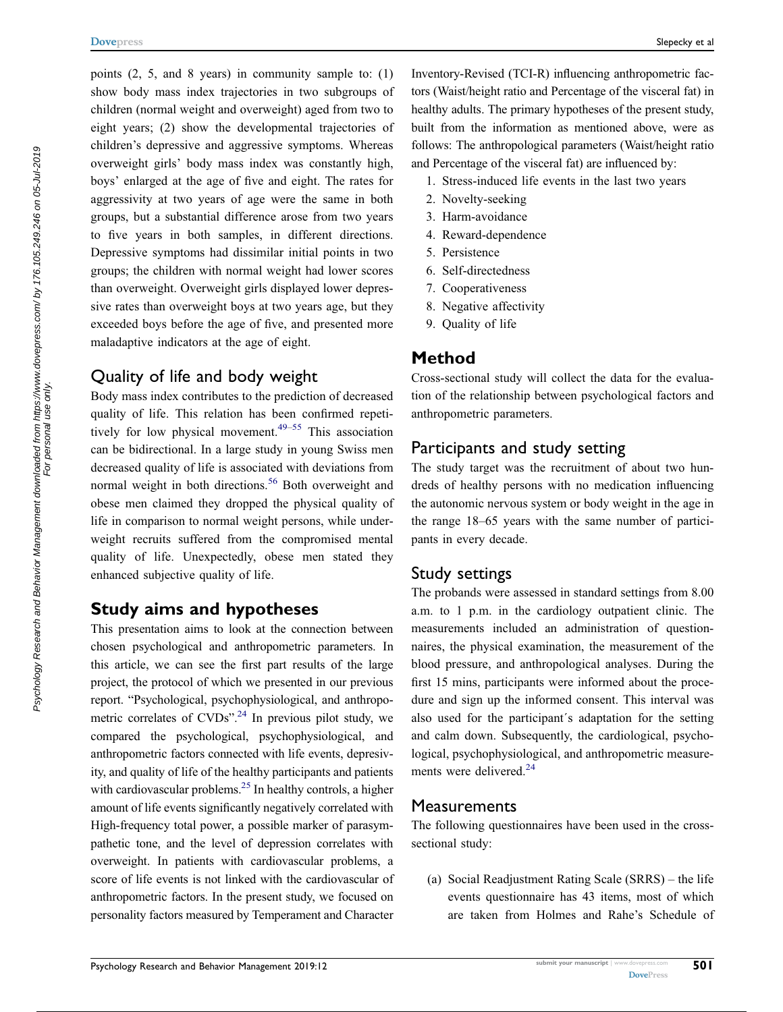points (2, 5, and 8 years) in community sample to: (1) show body mass index trajectories in two subgroups of children (normal weight and overweight) aged from two to eight years; (2) show the developmental trajectories of children's depressive and aggressive symptoms. Whereas overweight girls' body mass index was constantly high, boys' enlarged at the age of five and eight. The rates for aggressivity at two years of age were the same in both groups, but a substantial difference arose from two years to five years in both samples, in different directions. Depressive symptoms had dissimilar initial points in two groups; the children with normal weight had lower scores than overweight. Overweight girls displayed lower depressive rates than overweight boys at two years age, but they exceeded boys before the age of five, and presented more maladaptive indicators at the age of eight.

### Quality of life and body weight

<span id="page-2-1"></span><span id="page-2-0"></span>Body mass index contributes to the prediction of decreased quality of life. This relation has been confirmed repetitively for low physical movement.<sup> $49-55$  $49-55$  $49-55$ </sup> This association can be bidirectional. In a large study in young Swiss men decreased quality of life is associated with deviations from normal weight in both directions.<sup>[56](#page-10-25)</sup> Both overweight and obese men claimed they dropped the physical quality of life in comparison to normal weight persons, while underweight recruits suffered from the compromised mental quality of life. Unexpectedly, obese men stated they enhanced subjective quality of life.

### Study aims and hypotheses

This presentation aims to look at the connection between chosen psychological and anthropometric parameters. In this article, we can see the first part results of the large project, the protocol of which we presented in our previous report. "Psychological, psychophysiological, and anthropo-metric correlates of CVDs".<sup>[24](#page-10-4)</sup> In previous pilot study, we compared the psychological, psychophysiological, and anthropometric factors connected with life events, depresivity, and quality of life of the healthy participants and patients with cardiovascular problems.<sup>[25](#page-10-5)</sup> In healthy controls, a higher amount of life events significantly negatively correlated with High-frequency total power, a possible marker of parasympathetic tone, and the level of depression correlates with overweight. In patients with cardiovascular problems, a score of life events is not linked with the cardiovascular of anthropometric factors. In the present study, we focused on personality factors measured by Temperament and Character Inventory-Revised (TCI-R) influencing anthropometric factors (Waist/height ratio and Percentage of the visceral fat) in healthy adults. The primary hypotheses of the present study, built from the information as mentioned above, were as follows: The anthropological parameters (Waist/height ratio and Percentage of the visceral fat) are influenced by:

- 1. Stress-induced life events in the last two years
- 2. Novelty-seeking
- 3. Harm-avoidance
- 4. Reward-dependence
- 5. Persistence
- 6. Self-directedness
- 7. Cooperativeness
- 8. Negative affectivity
- 9. Quality of life

### Method

Cross-sectional study will collect the data for the evaluation of the relationship between psychological factors and anthropometric parameters.

### Participants and study setting

The study target was the recruitment of about two hundreds of healthy persons with no medication influencing the autonomic nervous system or body weight in the age in the range 18–65 years with the same number of participants in every decade.

### Study settings

The probands were assessed in standard settings from 8.00 a.m. to 1 p.m. in the cardiology outpatient clinic. The measurements included an administration of questionnaires, the physical examination, the measurement of the blood pressure, and anthropological analyses. During the first 15 mins, participants were informed about the procedure and sign up the informed consent. This interval was also used for the participant´s adaptation for the setting and calm down. Subsequently, the cardiological, psychological, psychophysiological, and anthropometric measure-ments were delivered.<sup>[24](#page-10-4)</sup>

#### **Measurements**

The following questionnaires have been used in the crosssectional study:

(a) Social Readjustment Rating Scale (SRRS) – the life events questionnaire has 43 items, most of which are taken from Holmes and Rahe's Schedule of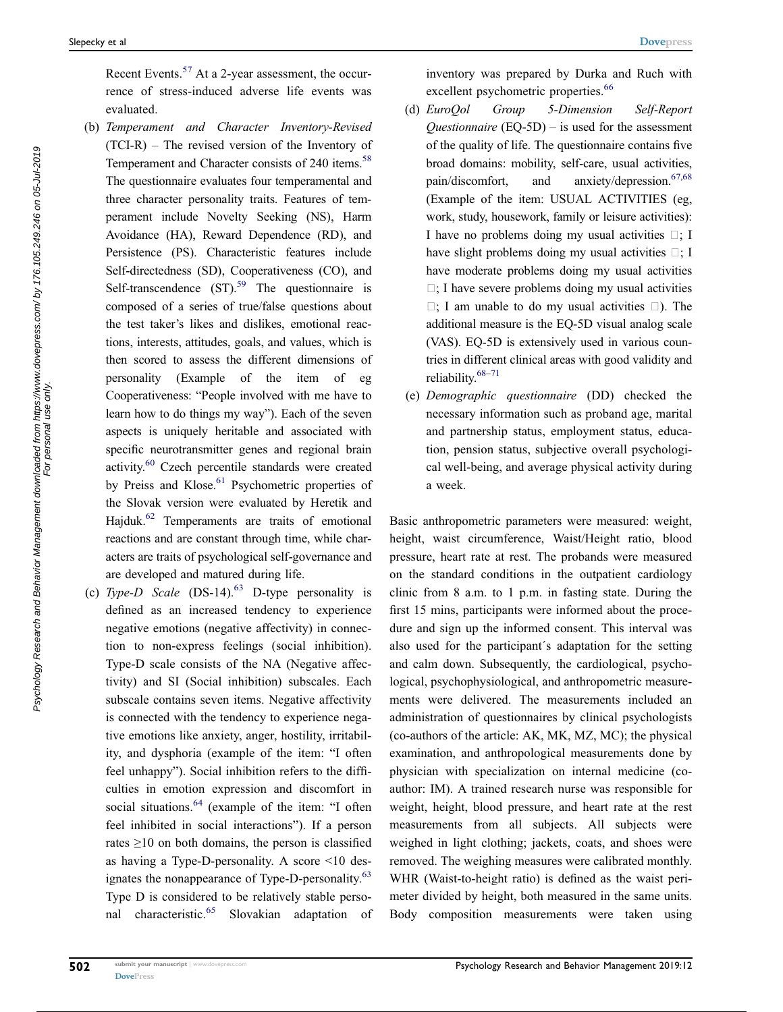<span id="page-3-0"></span>Recent Events.[57](#page-11-0) At a 2-year assessment, the occurrence of stress-induced adverse life events was evaluated.

- <span id="page-3-2"></span><span id="page-3-1"></span>(b) Temperament and Character Inventory-Revised (TCI-R) – The revised version of the Inventory of Temperament and Character consists of 240 items.<sup>58</sup> The questionnaire evaluates four temperamental and three character personality traits. Features of temperament include Novelty Seeking (NS), Harm Avoidance (HA), Reward Dependence (RD), and Persistence (PS). Characteristic features include Self-directedness (SD), Cooperativeness (CO), and Self-transcendence  $(ST)$ .<sup>59</sup> The questionnaire is composed of a series of true/false questions about the test taker's likes and dislikes, emotional reactions, interests, attitudes, goals, and values, which is then scored to assess the different dimensions of personality (Example of the item of eg Cooperativeness: "People involved with me have to learn how to do things my way"). Each of the seven aspects is uniquely heritable and associated with specific neurotransmitter genes and regional brain activity.[60](#page-11-3) Czech percentile standards were created by Preiss and Klose.<sup>61</sup> Psychometric properties of the Slovak version were evaluated by Heretik and Hajduk.<sup>62</sup> Temperaments are traits of emotional reactions and are constant through time, while characters are traits of psychological self-governance and are developed and matured during life.
- <span id="page-3-5"></span><span id="page-3-4"></span><span id="page-3-3"></span>(c)  $Type-D$  Scale (DS-14).<sup>[63](#page-11-6)</sup> D-type personality is defined as an increased tendency to experience negative emotions (negative affectivity) in connection to non-express feelings (social inhibition). Type-D scale consists of the NA (Negative affectivity) and SI (Social inhibition) subscales. Each subscale contains seven items. Negative affectivity is connected with the tendency to experience negative emotions like anxiety, anger, hostility, irritability, and dysphoria (example of the item: "I often feel unhappy"). Social inhibition refers to the difficulties in emotion expression and discomfort in social situations.<sup>[64](#page-11-7)</sup> (example of the item: "I often feel inhibited in social interactions"). If a person rates  $\geq 10$  on both domains, the person is classified as having a Type-D-personality. A score <10 designates the nonappearance of Type-D-personality.<sup>63</sup> Type D is considered to be relatively stable personal characteristic.[65](#page-11-8) Slovakian adaptation of

<span id="page-3-9"></span>inventory was prepared by Durka and Ruch with excellent psychometric properties.<sup>[66](#page-11-9)</sup>

- <span id="page-3-10"></span>(d) EuroQol Group 5-Dimension Self-Report Questionnaire  $(EQ-5D)$  – is used for the assessment of the quality of life. The questionnaire contains five broad domains: mobility, self-care, usual activities, pain/discomfort, and anxiety/depression.  $67,68$  $67,68$ (Example of the item: USUAL ACTIVITIES (eg, work, study, housework, family or leisure activities): I have no problems doing my usual activities  $\square$ ; I have slight problems doing my usual activities  $\square$ ; I have moderate problems doing my usual activities  $\square$ ; I have severe problems doing my usual activities  $\square$ ; I am unable to do my usual activities  $\square$ ). The additional measure is the EQ-5D visual analog scale (VAS). EQ-5D is extensively used in various countries in different clinical areas with good validity and reliability[.68](#page-11-11)–[71](#page-11-12)
- <span id="page-3-11"></span>(e) Demographic questionnaire (DD) checked the necessary information such as proband age, marital and partnership status, employment status, education, pension status, subjective overall psychological well-being, and average physical activity during a week.

Basic anthropometric parameters were measured: weight, height, waist circumference, Waist/Height ratio, blood pressure, heart rate at rest. The probands were measured on the standard conditions in the outpatient cardiology clinic from 8 a.m. to 1 p.m. in fasting state. During the first 15 mins, participants were informed about the procedure and sign up the informed consent. This interval was also used for the participant´s adaptation for the setting and calm down. Subsequently, the cardiological, psychological, psychophysiological, and anthropometric measurements were delivered. The measurements included an administration of questionnaires by clinical psychologists (co-authors of the article: AK, MK, MZ, MC); the physical examination, and anthropological measurements done by physician with specialization on internal medicine (coauthor: IM). A trained research nurse was responsible for weight, height, blood pressure, and heart rate at the rest measurements from all subjects. All subjects were weighed in light clothing; jackets, coats, and shoes were removed. The weighing measures were calibrated monthly. WHR (Waist-to-height ratio) is defined as the waist perimeter divided by height, both measured in the same units. Body composition measurements were taken using

<span id="page-3-8"></span><span id="page-3-7"></span><span id="page-3-6"></span>submit your manuscript | www.dovepress.com **[DovePress](http://www.dovepress.com)**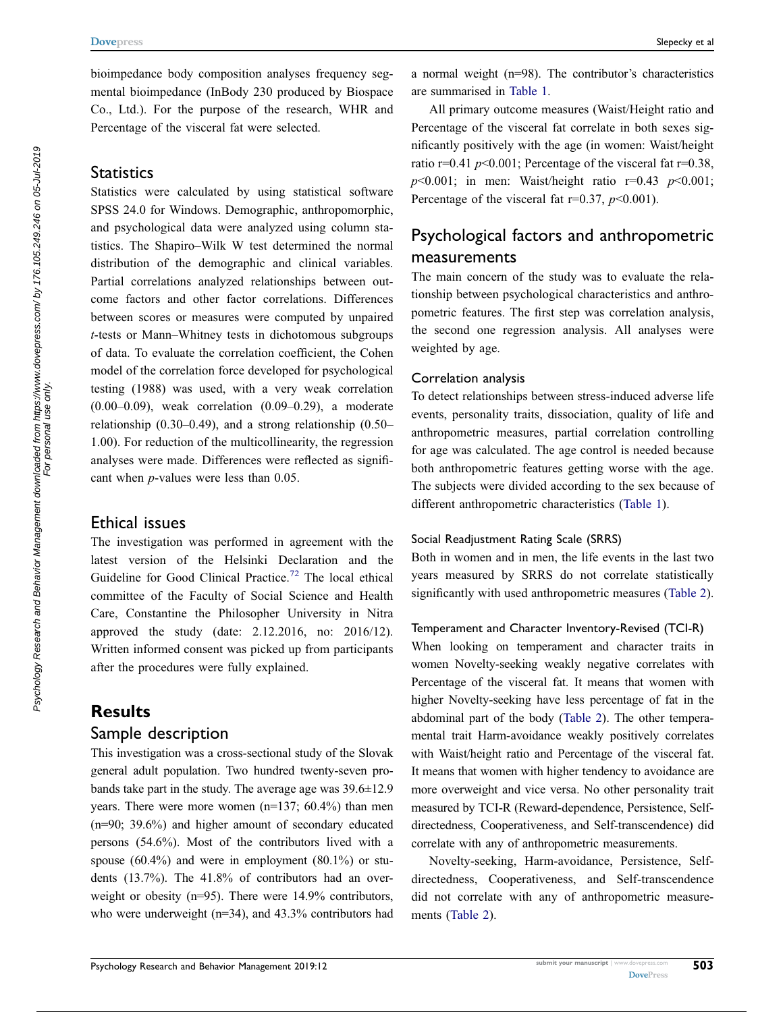#### **Statistics**

Statistics were calculated by using statistical software SPSS 24.0 for Windows. Demographic, anthropomorphic, and psychological data were analyzed using column statistics. The Shapiro–Wilk W test determined the normal distribution of the demographic and clinical variables. Partial correlations analyzed relationships between outcome factors and other factor correlations. Differences between scores or measures were computed by unpaired t-tests or Mann–Whitney tests in dichotomous subgroups of data. To evaluate the correlation coefficient, the Cohen model of the correlation force developed for psychological testing (1988) was used, with a very weak correlation (0.00–0.09), weak correlation (0.09–0.29), a moderate relationship (0.30–0.49), and a strong relationship (0.50– 1.00). For reduction of the multicollinearity, the regression analyses were made. Differences were reflected as significant when p-values were less than 0.05.

### Ethical issues

<span id="page-4-0"></span>The investigation was performed in agreement with the latest version of the Helsinki Declaration and the Guideline for Good Clinical Practice.<sup>[72](#page-11-13)</sup> The local ethical committee of the Faculty of Social Science and Health Care, Constantine the Philosopher University in Nitra approved the study (date: 2.12.2016, no: 2016/12). Written informed consent was picked up from participants after the procedures were fully explained.

### **Results**

### Sample description

This investigation was a cross-sectional study of the Slovak general adult population. Two hundred twenty-seven probands take part in the study. The average age was 39.6±12.9 years. There were more women (n=137; 60.4%) than men (n=90; 39.6%) and higher amount of secondary educated persons (54.6%). Most of the contributors lived with a spouse  $(60.4\%)$  and were in employment  $(80.1\%)$  or students (13.7%). The 41.8% of contributors had an overweight or obesity (n=95). There were 14.9% contributors, who were underweight (n=34), and 43.3% contributors had

a normal weight (n=98). The contributor's characteristics are summarised in [Table 1](#page-5-0).

All primary outcome measures (Waist/Height ratio and Percentage of the visceral fat correlate in both sexes significantly positively with the age (in women: Waist/height ratio r=0.41  $p$ <0.001; Percentage of the visceral fat r=0.38,  $p$ <0.001; in men: Waist/height ratio r=0.43  $p$ <0.001; Percentage of the visceral fat  $r=0.37$ ,  $p<0.001$ ).

## Psychological factors and anthropometric measurements

The main concern of the study was to evaluate the relationship between psychological characteristics and anthropometric features. The first step was correlation analysis, the second one regression analysis. All analyses were weighted by age.

#### Correlation analysis

To detect relationships between stress-induced adverse life events, personality traits, dissociation, quality of life and anthropometric measures, partial correlation controlling for age was calculated. The age control is needed because both anthropometric features getting worse with the age. The subjects were divided according to the sex because of different anthropometric characteristics ([Table 1\)](#page-5-0).

#### Social Readjustment Rating Scale (SRRS)

Both in women and in men, the life events in the last two years measured by SRRS do not correlate statistically significantly with used anthropometric measures ([Table 2\)](#page-5-1).

#### Temperament and Character Inventory-Revised (TCI-R)

When looking on temperament and character traits in women Novelty-seeking weakly negative correlates with Percentage of the visceral fat. It means that women with higher Novelty-seeking have less percentage of fat in the abdominal part of the body ([Table 2\)](#page-5-1). The other temperamental trait Harm-avoidance weakly positively correlates with Waist/height ratio and Percentage of the visceral fat. It means that women with higher tendency to avoidance are more overweight and vice versa. No other personality trait measured by TCI-R (Reward-dependence, Persistence, Selfdirectedness, Cooperativeness, and Self-transcendence) did correlate with any of anthropometric measurements.

Novelty-seeking, Harm-avoidance, Persistence, Selfdirectedness, Cooperativeness, and Self-transcendence did not correlate with any of anthropometric measurements [\(Table 2\)](#page-5-1).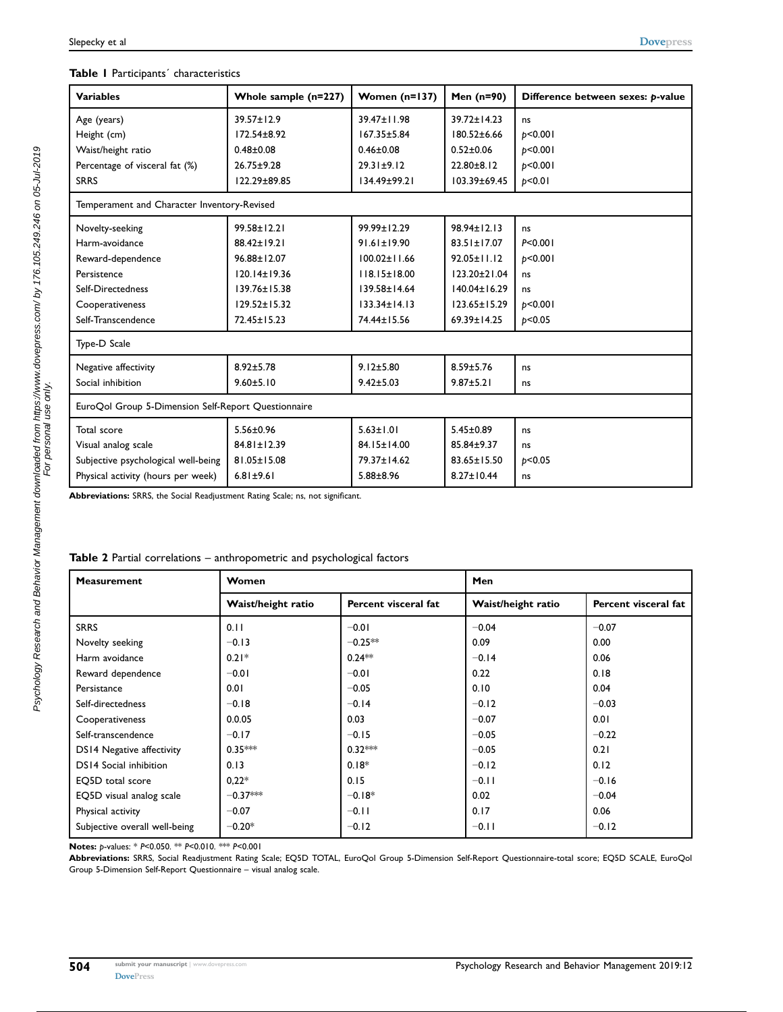#### <span id="page-5-0"></span>Table I Participants' characteristics

| <b>Variables</b>                                    | Whole sample (n=227) | Women $(n=137)$    | Men (n=90)         | Difference between sexes: p-value |  |  |
|-----------------------------------------------------|----------------------|--------------------|--------------------|-----------------------------------|--|--|
| Age (years)                                         | $39.57 \pm 12.9$     | 39.47±11.98        | $39.72 \pm 14.23$  | ns                                |  |  |
| Height (cm)                                         | $172.54 \pm 8.92$    | $167.35 \pm 5.84$  | $180.52 \pm 6.66$  | b < 0.001                         |  |  |
| Waist/height ratio                                  | $0.48 + 0.08$        | $0.46 \pm 0.08$    | $0.52 \pm 0.06$    | b < 0.001                         |  |  |
| Percentage of visceral fat (%)                      | $26.75 \pm 9.28$     | $29.31 \pm 9.12$   | $22.80 \pm 8.12$   | p<0.001                           |  |  |
| <b>SRRS</b>                                         | I22.29±89.85         | 134.49±99.21       | 103.39±69.45       | b < 0.01                          |  |  |
| Temperament and Character Inventory-Revised         |                      |                    |                    |                                   |  |  |
| Novelty-seeking                                     | 99.58±12.21          | 99.99±12.29        | 98.94±12.13        | ns                                |  |  |
| Harm-avoidance                                      | 88.42±19.21          | $91.61 \pm 19.90$  | $83.51 \pm 17.07$  | P < 0.001                         |  |  |
| Reward-dependence                                   | 96.88±12.07          | $100.02 \pm 11.66$ | $92.05 \pm 11.12$  | $b$ < 0.00                        |  |  |
| Persistence                                         | $120.14 \pm 19.36$   | $118.15 \pm 18.00$ | I23.20±21.04       | ns                                |  |  |
| Self-Directedness                                   | $139.76 \pm 15.38$   | 139.58±14.64       | $140.04 \pm 16.29$ | ns                                |  |  |
| Cooperativeness                                     | $129.52 \pm 15.32$   | $133.34 \pm 14.13$ | $123.65 \pm 15.29$ | p<0.001                           |  |  |
| Self-Transcendence                                  | 72.45±15.23          | 74.44±15.56        | $69.39 \pm 14.25$  | p<0.05                            |  |  |
| Type-D Scale                                        |                      |                    |                    |                                   |  |  |
| Negative affectivity                                | $8.92 \pm 5.78$      | $9.12 \pm 5.80$    | $8.59 \pm 5.76$    | ns                                |  |  |
| Social inhibition                                   | $9.60 \pm 5.10$      | $9.42 \pm 5.03$    | $9.87 + 5.21$      | ns                                |  |  |
| EuroQol Group 5-Dimension Self-Report Questionnaire |                      |                    |                    |                                   |  |  |
| Total score                                         | $5.56 \pm 0.96$      | $5.63 \pm 1.01$    | $5.45 \pm 0.89$    | ns                                |  |  |
| Visual analog scale                                 | $84.81 \pm 12.39$    | 84.15±14.00        | 85.84±9.37         | ns                                |  |  |
| Subjective psychological well-being                 | 81.05±15.08          | 79.37±14.62        | 83.65±15.50        | p<0.05                            |  |  |
| Physical activity (hours per week)                  | $6.81 \pm 9.61$      | $5.88 + 8.96$      | $8.27 \pm 10.44$   | ns                                |  |  |

Abbreviations: SRRS, the Social Readjustment Rating Scale; ns, not significant.

| <b>Measurement</b>               | Women              |                      | Men                |                      |  |  |
|----------------------------------|--------------------|----------------------|--------------------|----------------------|--|--|
|                                  | Waist/height ratio | Percent visceral fat | Waist/height ratio | Percent visceral fat |  |  |
| <b>SRRS</b>                      | 0.11               | $-0.01$              | $-0.04$            | $-0.07$              |  |  |
| Novelty seeking                  | $-0.13$            | $-0.25**$            | 0.09               | 0.00                 |  |  |
| Harm avoidance                   | $0.21*$            | $0.24**$             | $-0.14$            | 0.06                 |  |  |
| Reward dependence                | $-0.01$            | $-0.01$              | 0.22               | 0.18                 |  |  |
| Persistance                      | 0.01               | $-0.05$              | 0.10               | 0.04                 |  |  |
| Self-directedness                | $-0.18$            | $-0.14$              | $-0.12$            | $-0.03$              |  |  |
| Cooperativeness                  | 0.0.05             | 0.03                 | $-0.07$            | 0.01                 |  |  |
| Self-transcendence               | $-0.17$            | $-0.15$              | $-0.05$            | $-0.22$              |  |  |
| <b>DS14 Negative affectivity</b> | $0.35***$          | $0.32***$            | $-0.05$            | 0.21                 |  |  |
| <b>DS14 Social inhibition</b>    | 0.13               | $0.18*$              | $-0.12$            | 0.12                 |  |  |
| EQ5D total score                 | $0,22*$            | 0.15                 | $-0.11$            | $-0.16$              |  |  |
| EQ5D visual analog scale         | $-0.37***$         | $-0.18*$             | 0.02               | $-0.04$              |  |  |
| Physical activity                | $-0.07$            | $-0.11$              | 0.17               | 0.06                 |  |  |
| Subjective overall well-being    | $-0.20*$           | $-0.12$              | $-0.11$            | $-0.12$              |  |  |

<span id="page-5-1"></span>Table 2 Partial correlations – anthropometric and psychological factors

Notes: p-values: \* P<0.050. \*\* P<0.010. \*\*\* P<0.001

Abbreviations: SRRS, Social Readjustment Rating Scale; EQ5D TOTAL, EuroQol Group 5-Dimension Self-Report Questionnaire-total score; EQ5D SCALE, EuroQol Group 5-Dimension Self-Report Questionnaire – visual analog scale.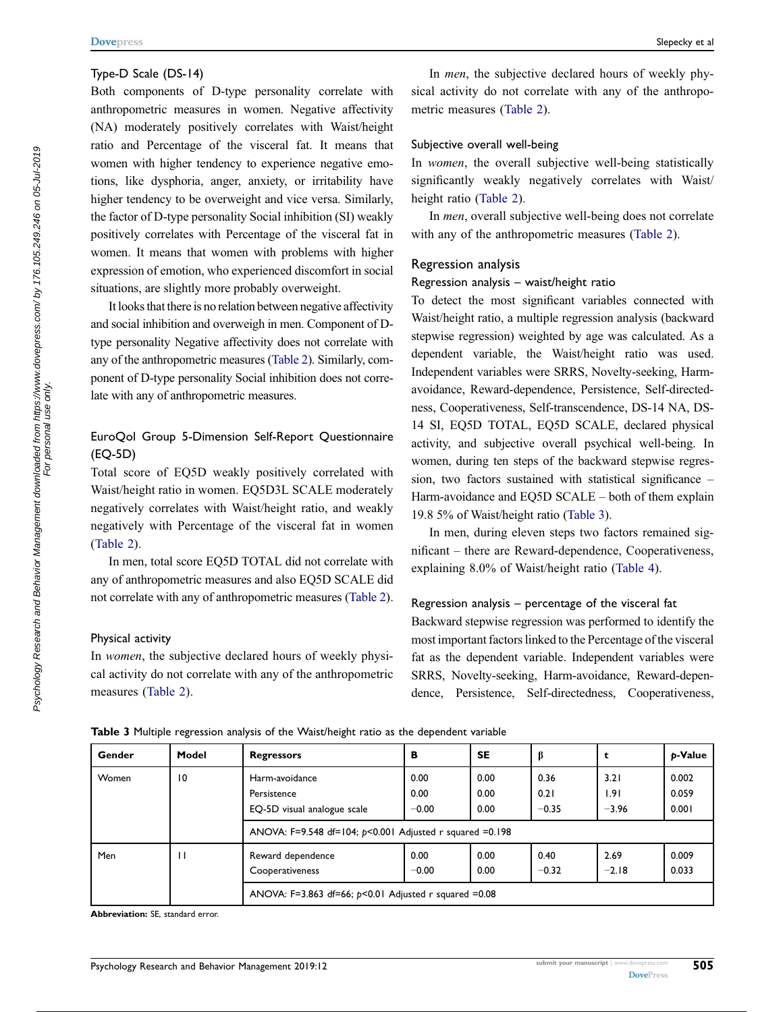#### Type-D Scale (DS-14)

Both components of D-type personality correlate with anthropometric measures in women. Negative affectivity (NA) moderately positively correlates with Waist/height ratio and Percentage of the visceral fat. It means that women with higher tendency to experience negative emotions, like dysphoria, anger, anxiety, or irritability have higher tendency to be overweight and vice versa. Similarly, the factor of D-type personality Social inhibition (SI) weakly positively correlates with Percentage of the visceral fat in women. It means that women with problems with higher expression of emotion, who experienced discomfort in social situations, are slightly more probably overweight.

It looks that there is no relation between negative affectivity and social inhibition and overweigh in men. Component of Dtype personality Negative affectivity does not correlate with any of the anthropometric measures ([Table 2\)](#page-5-1). Similarly, component of D-type personality Social inhibition does not correlate with any of anthropometric measures.

#### EuroQol Group 5-Dimension Self-Report Questionnaire (EQ-5D)

Total score of EQ5D weakly positively correlated with Waist/height ratio in women. EQ5D3L SCALE moderately negatively correlates with Waist/height ratio, and weakly negatively with Percentage of the visceral fat in women [\(Table 2\)](#page-5-1).

In men, total score EQ5D TOTAL did not correlate with any of anthropometric measures and also EQ5D SCALE did not correlate with any of anthropometric measures [\(Table 2](#page-5-1)).

#### Physical activity

In women, the subjective declared hours of weekly physical activity do not correlate with any of the anthropometric measures ([Table 2](#page-5-1)).

In men, the subjective declared hours of weekly physical activity do not correlate with any of the anthropometric measures [\(Table 2\)](#page-5-1).

#### Subjective overall well-being

In *women*, the overall subjective well-being statistically significantly weakly negatively correlates with Waist/ height ratio ([Table 2](#page-5-1)).

In men, overall subjective well-being does not correlate with any of the anthropometric measures ([Table 2](#page-5-1)).

#### Regression analysis

#### Regression analysis – waist/height ratio

To detect the most significant variables connected with Waist/height ratio, a multiple regression analysis (backward stepwise regression) weighted by age was calculated. As a dependent variable, the Waist/height ratio was used. Independent variables were SRRS, Novelty-seeking, Harmavoidance, Reward-dependence, Persistence, Self-directedness, Cooperativeness, Self-transcendence, DS-14 NA, DS-14 SI, EQ5D TOTAL, EQ5D SCALE, declared physical activity, and subjective overall psychical well-being. In women, during ten steps of the backward stepwise regression, two factors sustained with statistical significance – Harm-avoidance and EQ5D SCALE – both of them explain 19.8 5% of Waist/height ratio ([Table 3](#page-6-0)).

In men, during eleven steps two factors remained significant – there are Reward-dependence, Cooperativeness, explaining 8.0% of Waist/height ratio ([Table 4](#page-7-0)).

#### Regression analysis – percentage of the visceral fat

Backward stepwise regression was performed to identify the most important factors linked to the Percentage of the visceral fat as the dependent variable. Independent variables were SRRS, Novelty-seeking, Harm-avoidance, Reward-dependence, Persistence, Self-directedness, Cooperativeness,

| Gender | Model           | <b>Regressors</b>                                                                                                           | в                       | <b>SE</b>            | β                       |                         | <b>p-Value</b>          |
|--------|-----------------|-----------------------------------------------------------------------------------------------------------------------------|-------------------------|----------------------|-------------------------|-------------------------|-------------------------|
| Women  | $\overline{10}$ | Harm-avoidance<br>Persistence<br>EQ-5D visual analogue scale<br>ANOVA: F=9.548 df=104; $p$ <0.001 Adjusted r squared =0.198 | 0.00<br>0.00<br>$-0.00$ | 0.00<br>0.00<br>0.00 | 0.36<br>0.21<br>$-0.35$ | 3.21<br>1.91<br>$-3.96$ | 0.002<br>0.059<br>0.001 |
|        |                 |                                                                                                                             |                         |                      |                         |                         |                         |
| Men    |                 | Reward dependence<br>Cooperativeness                                                                                        | 0.00<br>$-0.00$         | 0.00<br>0.00         | 0.40<br>$-0.32$         | 2.69<br>$-2.18$         | 0.009<br>0.033          |
|        |                 | ANOVA: F=3.863 df=66; $p<0.01$ Adjusted r squared =0.08                                                                     |                         |                      |                         |                         |                         |

<span id="page-6-0"></span>Table 3 Multiple regression analysis of the Waist/height ratio as the dependent variable

Abbreviation: SE, standard error.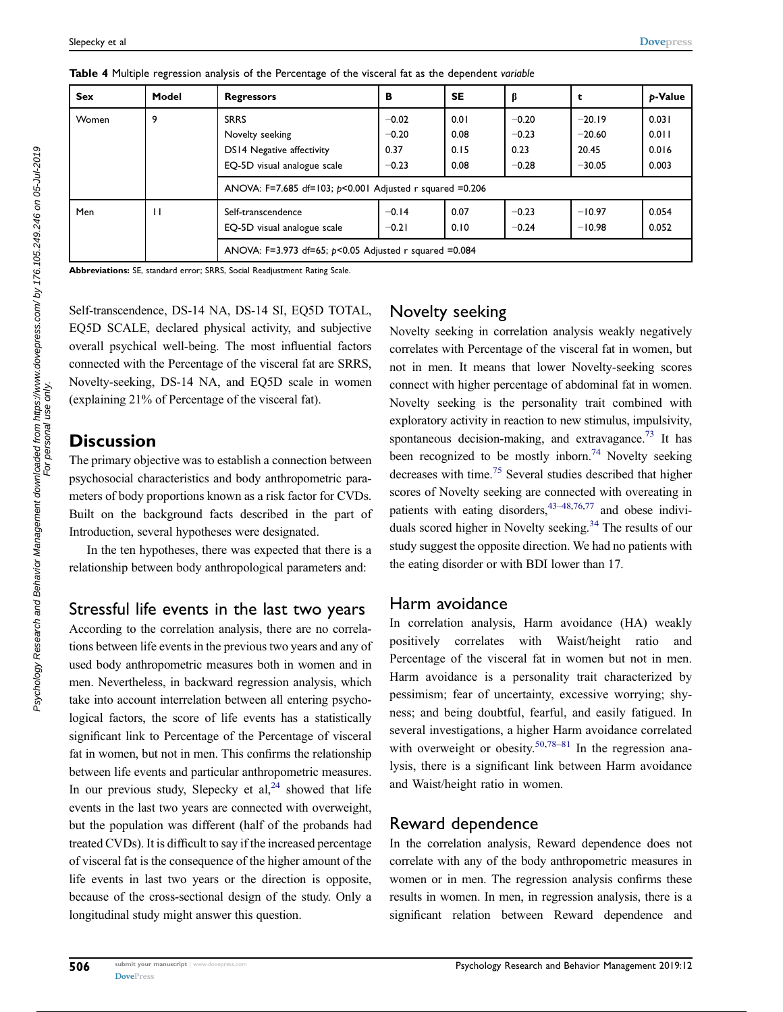| <b>Sex</b> | Model | <b>Regressors</b>                                           | в       | <b>SE</b> | β       |          | <b>p-Value</b> |
|------------|-------|-------------------------------------------------------------|---------|-----------|---------|----------|----------------|
| Women      | 9     | <b>SRRS</b>                                                 | $-0.02$ | 0.01      | $-0.20$ | $-20.19$ | 0.031          |
|            |       | Novelty seeking                                             | $-0.20$ | 0.08      | $-0.23$ | $-20.60$ | 0.011          |
|            |       | <b>DS14 Negative affectivity</b>                            | 0.37    | 0.15      | 0.23    | 20.45    | 0.016          |
|            |       | EQ-5D visual analogue scale                                 | $-0.23$ | 0.08      | $-0.28$ | $-30.05$ | 0.003          |
|            |       | ANOVA: F=7.685 df=103; $p$ <0.001 Adjusted r squared =0.206 |         |           |         |          |                |
| Men        | ш     | Self-transcendence                                          | $-0.14$ | 0.07      | $-0.23$ | $-10.97$ | 0.054          |
|            |       | EQ-5D visual analogue scale                                 | $-0.21$ | 0.10      | $-0.24$ | $-10.98$ | 0.052          |
|            |       | ANOVA: F=3.973 df=65; $p$ <0.05 Adjusted r squared =0.084   |         |           |         |          |                |

<span id="page-7-0"></span>Table 4 Multiple regression analysis of the Percentage of the visceral fat as the dependent variable

Abbreviations: SE, standard error; SRRS, Social Readjustment Rating Scale.

Self-transcendence, DS-14 NA, DS-14 SI, EQ5D TOTAL, EQ5D SCALE, declared physical activity, and subjective overall psychical well-being. The most influential factors connected with the Percentage of the visceral fat are SRRS, Novelty-seeking, DS-14 NA, and EQ5D scale in women (explaining 21% of Percentage of the visceral fat).

### **Discussion**

The primary objective was to establish a connection between psychosocial characteristics and body anthropometric parameters of body proportions known as a risk factor for CVDs. Built on the background facts described in the part of Introduction, several hypotheses were designated.

In the ten hypotheses, there was expected that there is a relationship between body anthropological parameters and:

### Stressful life events in the last two years

According to the correlation analysis, there are no correlations between life events in the previous two years and any of used body anthropometric measures both in women and in men. Nevertheless, in backward regression analysis, which take into account interrelation between all entering psychological factors, the score of life events has a statistically significant link to Percentage of the Percentage of visceral fat in women, but not in men. This confirms the relationship between life events and particular anthropometric measures. In our previous study, Slepecky et al,  $24$  showed that life events in the last two years are connected with overweight, but the population was different (half of the probands had treated CVDs). It is difficult to say if the increased percentage of visceral fat is the consequence of the higher amount of the life events in last two years or the direction is opposite, because of the cross-sectional design of the study. Only a longitudinal study might answer this question.

### Novelty seeking

<span id="page-7-3"></span><span id="page-7-2"></span>Novelty seeking in correlation analysis weakly negatively correlates with Percentage of the visceral fat in women, but not in men. It means that lower Novelty-seeking scores connect with higher percentage of abdominal fat in women. Novelty seeking is the personality trait combined with exploratory activity in reaction to new stimulus, impulsivity, spontaneous decision-making, and extravagance.<sup>[73](#page-11-14)</sup> It has been recognized to be mostly inborn.<sup>[74](#page-11-15)</sup> Novelty seeking decreases with time[.75](#page-11-16) Several studies described that higher scores of Novelty seeking are connected with overeating in patients with eating disorders,  $43-48,76,77$  $43-48,76,77$  $43-48,76,77$  $43-48,76,77$  and obese individuals scored higher in Novelty seeking.<sup>34</sup> The results of our study suggest the opposite direction. We had no patients with the eating disorder or with BDI lower than 17.

### <span id="page-7-4"></span>Harm avoidance

In correlation analysis, Harm avoidance (HA) weakly positively correlates with Waist/height ratio and Percentage of the visceral fat in women but not in men. Harm avoidance is a personality trait characterized by pessimism; fear of uncertainty, excessive worrying; shyness; and being doubtful, fearful, and easily fatigued. In several investigations, a higher Harm avoidance correlated with overweight or obesity.<sup>[50,](#page-10-26)[78](#page-11-19)–[81](#page-11-20)</sup> In the regression analysis, there is a significant link between Harm avoidance and Waist/height ratio in women.

### <span id="page-7-1"></span>Reward dependence

In the correlation analysis, Reward dependence does not correlate with any of the body anthropometric measures in women or in men. The regression analysis confirms these results in women. In men, in regression analysis, there is a significant relation between Reward dependence and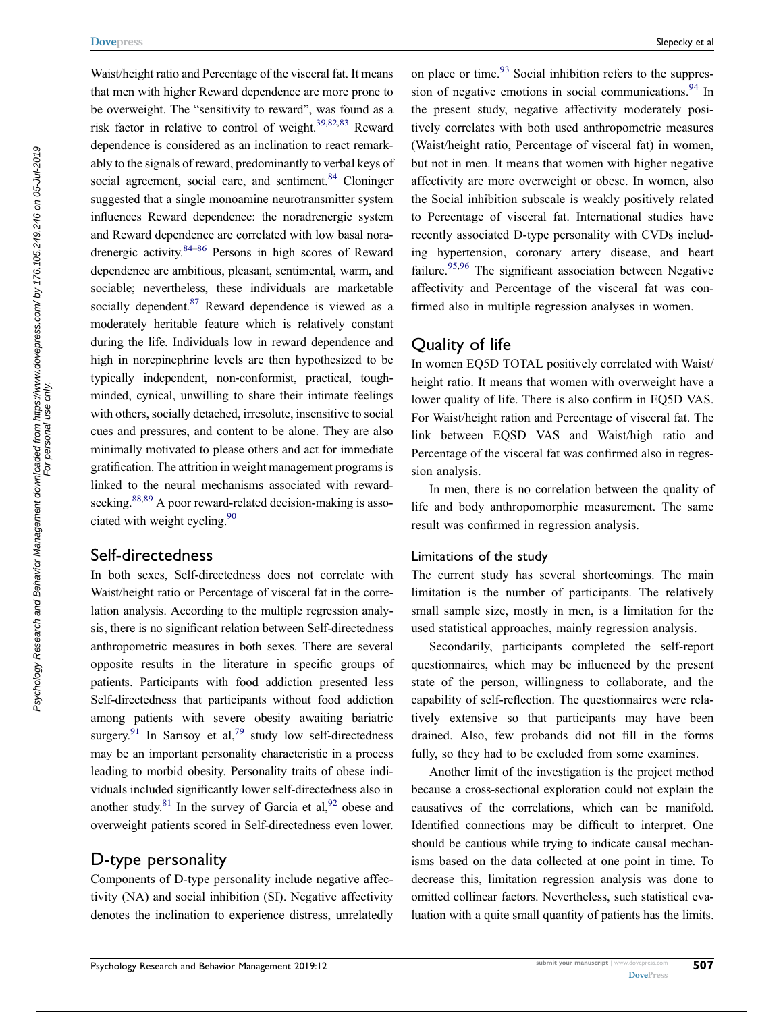<span id="page-8-1"></span>Waist/height ratio and Percentage of the visceral fat. It means that men with higher Reward dependence are more prone to be overweight. The "sensitivity to reward", was found as a risk factor in relative to control of weight.<sup>39[,82,](#page-11-21)[83](#page-11-22)</sup> Reward dependence is considered as an inclination to react remarkably to the signals of reward, predominantly to verbal keys of social agreement, social care, and sentiment.<sup>84</sup> Cloninger suggested that a single monoamine neurotransmitter system influences Reward dependence: the noradrenergic system and Reward dependence are correlated with low basal noradrenergic activity[.84](#page-11-23)–[86](#page-11-24) Persons in high scores of Reward dependence are ambitious, pleasant, sentimental, warm, and sociable; nevertheless, these individuals are marketable socially dependent.<sup>[87](#page-11-25)</sup> Reward dependence is viewed as a moderately heritable feature which is relatively constant during the life. Individuals low in reward dependence and high in norepinephrine levels are then hypothesized to be typically independent, non-conformist, practical, toughminded, cynical, unwilling to share their intimate feelings with others, socially detached, irresolute, insensitive to social cues and pressures, and content to be alone. They are also minimally motivated to please others and act for immediate gratification. The attrition in weight management programs is linked to the neural mechanisms associated with reward-seeking.<sup>88,[89](#page-11-27)</sup> A poor reward-related decision-making is asso-ciated with weight cycling.<sup>[90](#page-11-28)</sup>

### <span id="page-8-5"></span><span id="page-8-4"></span>Self-directedness

In both sexes, Self-directedness does not correlate with Waist/height ratio or Percentage of visceral fat in the correlation analysis. According to the multiple regression analysis, there is no significant relation between Self-directedness anthropometric measures in both sexes. There are several opposite results in the literature in specific groups of patients. Participants with food addiction presented less Self-directedness that participants without food addiction among patients with severe obesity awaiting bariatric surgery.<sup>91</sup> In Sarısoy et al,<sup>[79](#page-11-30)</sup> study low self-directedness may be an important personality characteristic in a process leading to morbid obesity. Personality traits of obese individuals included significantly lower self-directedness also in another study.<sup>[81](#page-11-20)</sup> In the survey of Garcia et al,  $92$  obese and overweight patients scored in Self-directedness even lower.

### <span id="page-8-6"></span><span id="page-8-0"></span>D-type personality

Components of D-type personality include negative affectivity (NA) and social inhibition (SI). Negative affectivity denotes the inclination to experience distress, unrelatedly

<span id="page-8-8"></span><span id="page-8-7"></span>on place or time. $93$  Social inhibition refers to the suppres-sion of negative emotions in social communications.<sup>[94](#page-12-0)</sup> In the present study, negative affectivity moderately positively correlates with both used anthropometric measures (Waist/height ratio, Percentage of visceral fat) in women, but not in men. It means that women with higher negative affectivity are more overweight or obese. In women, also the Social inhibition subscale is weakly positively related to Percentage of visceral fat. International studies have recently associated D-type personality with CVDs including hypertension, coronary artery disease, and heart failure.<sup>[95,](#page-12-1)[96](#page-12-2)</sup> The significant association between Negative affectivity and Percentage of the visceral fat was confirmed also in multiple regression analyses in women.

### <span id="page-8-9"></span>Quality of life

In women EQ5D TOTAL positively correlated with Waist/ height ratio. It means that women with overweight have a lower quality of life. There is also confirm in EQ5D VAS. For Waist/height ration and Percentage of visceral fat. The link between EQSD VAS and Waist/high ratio and Percentage of the visceral fat was confirmed also in regression analysis.

In men, there is no correlation between the quality of life and body anthropomorphic measurement. The same result was confirmed in regression analysis.

#### Limitations of the study

The current study has several shortcomings. The main limitation is the number of participants. The relatively small sample size, mostly in men, is a limitation for the used statistical approaches, mainly regression analysis.

Secondarily, participants completed the self-report questionnaires, which may be influenced by the present state of the person, willingness to collaborate, and the capability of self-reflection. The questionnaires were relatively extensive so that participants may have been drained. Also, few probands did not fill in the forms fully, so they had to be excluded from some examines.

Another limit of the investigation is the project method because a cross-sectional exploration could not explain the causatives of the correlations, which can be manifold. Identified connections may be difficult to interpret. One should be cautious while trying to indicate causal mechanisms based on the data collected at one point in time. To decrease this, limitation regression analysis was done to omitted collinear factors. Nevertheless, such statistical evaluation with a quite small quantity of patients has the limits.

<span id="page-8-3"></span><span id="page-8-2"></span>For personal use only.

507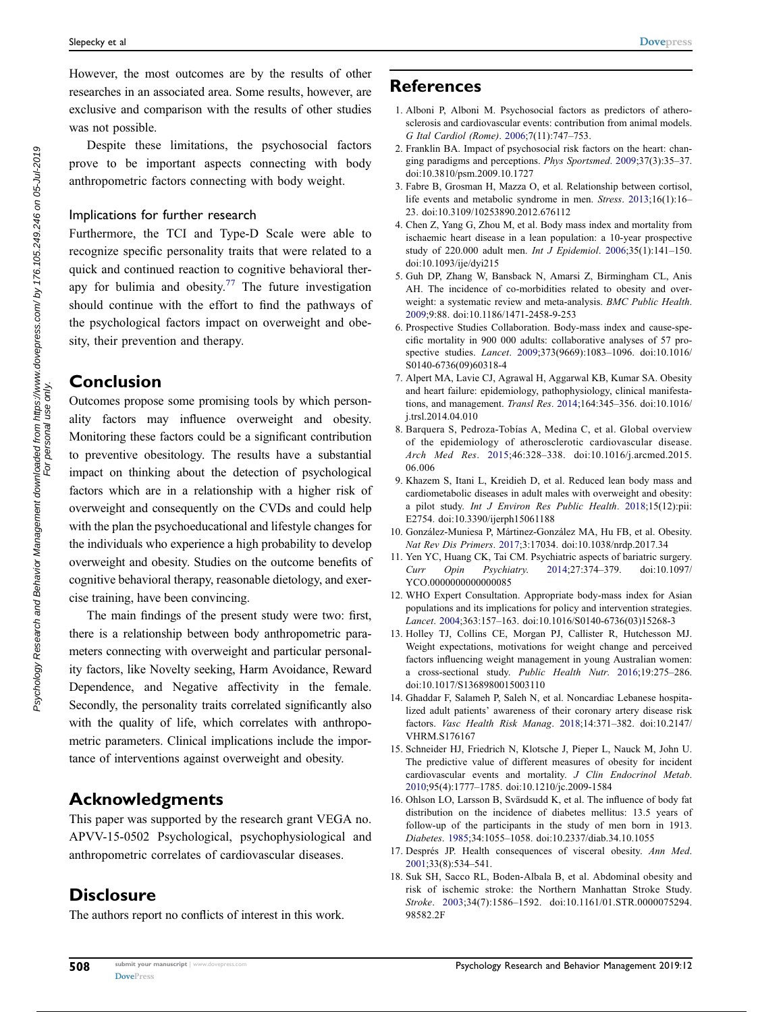However, the most outcomes are by the results of other researches in an associated area. Some results, however, are exclusive and comparison with the results of other studies was not possible.

Despite these limitations, the psychosocial factors prove to be important aspects connecting with body anthropometric factors connecting with body weight.

#### Implications for further research

Furthermore, the TCI and Type-D Scale were able to recognize specific personality traits that were related to a quick and continued reaction to cognitive behavioral ther-apy for bulimia and obesity.<sup>[77](#page-11-18)</sup> The future investigation should continue with the effort to find the pathways of the psychological factors impact on overweight and obesity, their prevention and therapy.

### Conclusion

Outcomes propose some promising tools by which personality factors may influence overweight and obesity. Monitoring these factors could be a significant contribution to preventive obesitology. The results have a substantial impact on thinking about the detection of psychological factors which are in a relationship with a higher risk of overweight and consequently on the CVDs and could help with the plan the psychoeducational and lifestyle changes for the individuals who experience a high probability to develop overweight and obesity. Studies on the outcome benefits of cognitive behavioral therapy, reasonable dietology, and exercise training, have been convincing.

The main findings of the present study were two: first, there is a relationship between body anthropometric parameters connecting with overweight and particular personality factors, like Novelty seeking, Harm Avoidance, Reward Dependence, and Negative affectivity in the female. Secondly, the personality traits correlated significantly also with the quality of life, which correlates with anthropometric parameters. Clinical implications include the importance of interventions against overweight and obesity.

### Acknowledgments

This paper was supported by the research grant VEGA no. APVV-15-0502 Psychological, psychophysiological and anthropometric correlates of cardiovascular diseases.

### **Disclosure**

The authors report no conflicts of interest in this work.

### **References**

- <span id="page-9-0"></span>1. Alboni P, Alboni M. Psychosocial factors as predictors of atherosclerosis and cardiovascular events: contribution from animal models. G Ital Cardiol (Rome). [2006](#page-0-6);7(11):747–753.
- 2. Franklin BA. Impact of psychosocial risk factors on the heart: changing paradigms and perceptions. Phys Sportsmed. 2009;37(3):35–37. doi:[10.3810/psm.2009.10.1727](https://doi.org/10.3810/psm.2009.10.1727)
- <span id="page-9-1"></span>3. Fabre B, Grosman H, Mazza O, et al. Relationship between cortisol, life events and metabolic syndrome in men. Stress. [2013;](#page-0-6)16(1):16– 23. doi:[10.3109/10253890.2012.676112](https://doi.org/10.3109/10253890.2012.676112)
- <span id="page-9-2"></span>4. Chen Z, Yang G, Zhou M, et al. Body mass index and mortality from ischaemic heart disease in a lean population: a 10-year prospective study of 220.000 adult men. Int J Epidemiol. [2006;](#page-0-7)35(1):141–150. doi:[10.1093/ije/dyi215](https://doi.org/10.1093/ije/dyi215)
- <span id="page-9-6"></span>5. Guh DP, Zhang W, Bansback N, Amarsi Z, Birmingham CL, Anis AH. The incidence of co-morbidities related to obesity and overweight: a systematic review and meta-analysis. BMC Public Health. [2009](#page-0-8);9:88. doi:[10.1186/1471-2458-9-253](https://doi.org/10.1186/1471-2458-9-253)
- 6. Prospective Studies Collaboration. Body-mass index and cause-specific mortality in 900 000 adults: collaborative analyses of 57 prospective studies. Lancet. 2009;373(9669):1083–1096. doi:[10.1016/](https://doi.org/10.1016/S0140-6736(09)60318-4) [S0140-6736\(09\)60318-4](https://doi.org/10.1016/S0140-6736(09)60318-4)
- 7. Alpert MA, Lavie CJ, Agrawal H, Aggarwal KB, Kumar SA. Obesity and heart failure: epidemiology, pathophysiology, clinical manifestations, and management. Transl Res. 2014;164:345–356. doi:[10.1016/](https://doi.org/10.1016/j.trsl.2014.04.010) [j.trsl.2014.04.010](https://doi.org/10.1016/j.trsl.2014.04.010)
- 8. Barquera S, Pedroza-Tobías A, Medina C, et al. Global overview of the epidemiology of atherosclerotic cardiovascular disease. Arch Med Res. 2015;46:328–338. doi:[10.1016/j.arcmed.2015.](https://doi.org/10.1016/j.arcmed.2015.06.006) [06.006](https://doi.org/10.1016/j.arcmed.2015.06.006)
- <span id="page-9-3"></span>9. Khazem S, Itani L, Kreidieh D, et al. Reduced lean body mass and cardiometabolic diseases in adult males with overweight and obesity: a pilot study. Int J Environ Res Public Health. [2018;](#page-0-7)15(12):pii: E2754. doi:[10.3390/ijerph15061188](https://doi.org/10.3390/ijerph15061188)
- <span id="page-9-4"></span>10. González-Muniesa P, Mártinez-González MA, Hu FB, et al. Obesity. Nat Rev Dis Primers. [2017](#page-0-9);3:17034. doi:[10.1038/nrdp.2017.34](https://doi.org/10.1038/nrdp.2017.34)
- <span id="page-9-5"></span>11. Yen YC, Huang CK, Tai CM. Psychiatric aspects of bariatric surgery. Curr Opin Psychiatry. [2014;](#page-0-10)27:374–379. doi:[10.1097/](https://doi.org/10.1097/YCO.0000000000000085) [YCO.0000000000000085](https://doi.org/10.1097/YCO.0000000000000085)
- <span id="page-9-7"></span>12. WHO Expert Consultation. Appropriate body-mass index for Asian populations and its implications for policy and intervention strategies. Lancet. [2004;](#page-1-0)363:157–163. doi:[10.1016/S0140-6736\(03\)15268-3](https://doi.org/10.1016/S0140-6736(03)15268-3)
- 13. Holley TJ, Collins CE, Morgan PJ, Callister R, Hutchesson MJ. Weight expectations, motivations for weight change and perceived factors influencing weight management in young Australian women: a cross-sectional study. Public Health Nutr. 2016;19:275–286. doi:[10.1017/S1368980015003110](https://doi.org/10.1017/S1368980015003110)
- <span id="page-9-8"></span>14. Ghaddar F, Salameh P, Saleh N, et al. Noncardiac Lebanese hospitalized adult patients' awareness of their coronary artery disease risk factors. Vasc Health Risk Manag. [2018;](#page-1-0)14:371–382. doi:[10.2147/](https://doi.org/10.2147/VHRM.S176167) [VHRM.S176167](https://doi.org/10.2147/VHRM.S176167)
- <span id="page-9-9"></span>15. Schneider HJ, Friedrich N, Klotsche J, Pieper L, Nauck M, John U. The predictive value of different measures of obesity for incident cardiovascular events and mortality. J Clin Endocrinol Metab. [2010](#page-1-1);95(4):1777–1785. doi:[10.1210/jc.2009-1584](https://doi.org/10.1210/jc.2009-1584)
- <span id="page-9-10"></span>16. Ohlson LO, Larsson B, Svärdsudd K, et al. The influence of body fat distribution on the incidence of diabetes mellitus: 13.5 years of follow-up of the participants in the study of men born in 1913. Diabetes. [1985](#page-1-1);34:1055–1058. doi:[10.2337/diab.34.10.1055](https://doi.org/10.2337/diab.34.10.1055)
- <span id="page-9-11"></span>17. Després JP. Health consequences of visceral obesity. Ann Med. [2001](#page-1-2);33(8):534–541.
- 18. Suk SH, Sacco RL, Boden-Albala B, et al. Abdominal obesity and risk of ischemic stroke: the Northern Manhattan Stroke Study. Stroke. 2003;34(7):1586–1592. doi:[10.1161/01.STR.0000075294.](https://doi.org/10.1161/01.STR.0000075294.98582.2F) [98582.2F](https://doi.org/10.1161/01.STR.0000075294.98582.2F)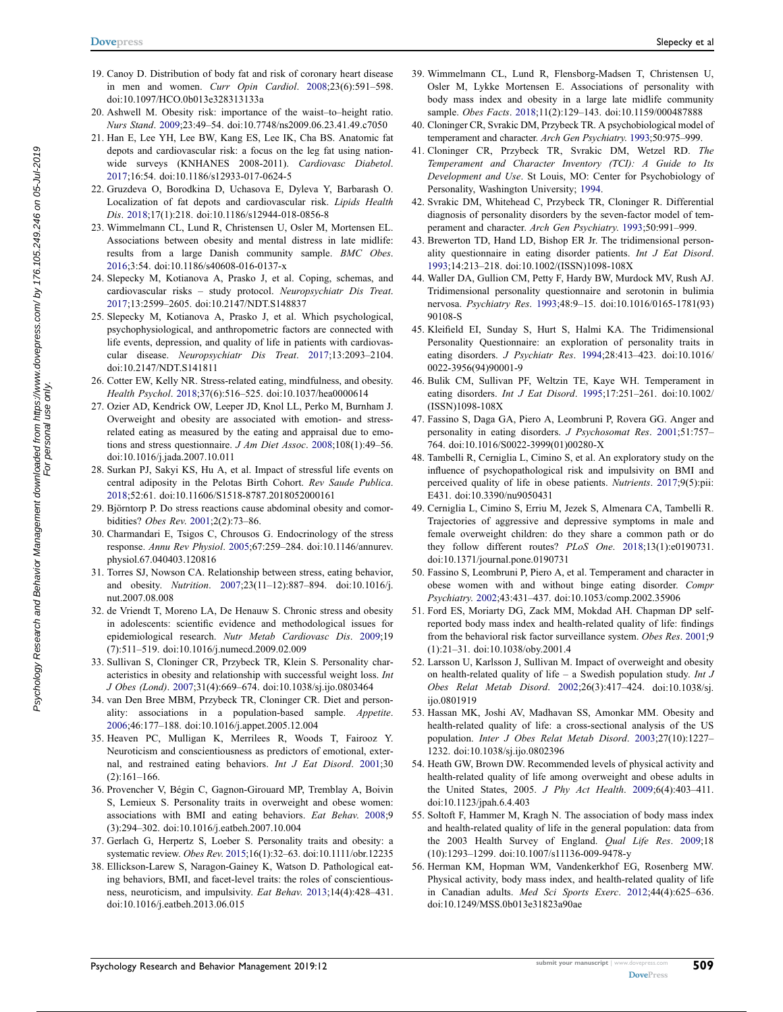<span id="page-10-9"></span>[2018;](#page-1-8)52:61. doi:[10.11606/S1518-8787.2018052000161](https://doi.org/10.11606/S1518-8787.2018052000161) 29. Björntorp P. Do stress reactions cause abdominal obesity and comorbidities? Obes Rev. [2001;](#page-1-9)2(2):73–86.

<span id="page-10-8"></span>28. Surkan PJ, Sakyi KS, Hu A, et al. Impact of stressful life events on

<span id="page-10-0"></span>19. Canoy D. Distribution of body fat and risk of coronary heart disease in men and women. Curr Opin Cardiol. [2008;](#page-1-2)23(6):591-598.

<span id="page-10-1"></span>20. Ashwell M. Obesity risk: importance of the waist–to–height ratio. Nurs Stand. [2009;](#page-1-3)23:49–54. doi:[10.7748/ns2009.06.23.41.49.c7050](https://doi.org/10.7748/ns2009.06.23.41.49.c7050) 21. Han E, Lee YH, Lee BW, Kang ES, Lee IK, Cha BS. Anatomic fat depots and cardiovascular risk: a focus on the leg fat using nationwide surveys (KNHANES 2008-2011). Cardiovasc Diabetol.

<span id="page-10-2"></span>22. Gruzdeva O, Borodkina D, Uchasova E, Dyleva Y, Barbarash O. Localization of fat depots and cardiovascular risk. Lipids Health

<span id="page-10-3"></span>23. Wimmelmann CL, Lund R, Christensen U, Osler M, Mortensen EL. Associations between obesity and mental distress in late midlife: results from a large Danish community sample. BMC Obes.

<span id="page-10-4"></span>24. Slepecky M, Kotianova A, Prasko J, et al. Coping, schemas, and cardiovascular risks – study protocol. Neuropsychiatr Dis Treat.

<span id="page-10-5"></span>25. Slepecky M, Kotianova A, Prasko J, et al. Which psychological, psychophysiological, and anthropometric factors are connected with life events, depression, and quality of life in patients with cardiovascular disease. Neuropsychiatr Dis Treat. [2017](#page-1-6);13:2093–2104.

<span id="page-10-7"></span><span id="page-10-6"></span>26. Cotter EW, Kelly NR. Stress-related eating, mindfulness, and obesity. Health Psychol. [2018](#page-1-7);37(6):516–525. doi:[10.1037/hea0000614](https://doi.org/10.1037/hea0000614) 27. Ozier AD, Kendrick OW, Leeper JD, Knol LL, Perko M, Burnham J. Overweight and obesity are associated with emotion- and stressrelated eating as measured by the eating and appraisal due to emotions and stress questionnaire. J Am Diet Assoc. [2008;](#page-1-8)108(1):49–56.

doi:[10.1097/HCO.0b013e328313133a](https://doi.org/10.1097/HCO.0b013e328313133a)

2017;16:54. doi:[10.1186/s12933-017-0624-5](https://doi.org/10.1186/s12933-017-0624-5)

[2016;](#page-1-4)3:54. doi:[10.1186/s40608-016-0137-x](https://doi.org/10.1186/s40608-016-0137-x)

doi:[10.2147/NDT.S141811](https://doi.org/10.2147/NDT.S141811)

doi:[10.1016/j.jada.2007.10.011](https://doi.org/10.1016/j.jada.2007.10.011)

[2017;](#page-1-5)13:2599–2605. doi:[10.2147/NDT.S148837](https://doi.org/10.2147/NDT.S148837)

Dis. [2018](#page-1-3);17(1):218. doi:[10.1186/s12944-018-0856-8](https://doi.org/10.1186/s12944-018-0856-8)

- 30. Charmandari E, Tsigos C, Chrousos G. Endocrinology of the stress response. Annu Rev Physiol. 2005;67:259–284. doi:[10.1146/annurev.](https://doi.org/10.1146/annurev.physiol.67.040403.120816) [physiol.67.040403.120816](https://doi.org/10.1146/annurev.physiol.67.040403.120816)
- 31. Torres SJ, Nowson CA. Relationship between stress, eating behavior, and obesity. Nutrition. 2007;23(11–12):887–894. doi:[10.1016/j.](https://doi.org/10.1016/j.nut.2007.08.008) [nut.2007.08.008](https://doi.org/10.1016/j.nut.2007.08.008)
- <span id="page-10-10"></span>32. de Vriendt T, Moreno LA, De Henauw S. Chronic stress and obesity in adolescents: scientific evidence and methodological issues for epidemiological research. Nutr Metab Cardiovasc Dis. [2009](#page-1-9);19 (7):511–519. doi:[10.1016/j.numecd.2009.02.009](https://doi.org/10.1016/j.numecd.2009.02.009)
- <span id="page-10-11"></span>33. Sullivan S, Cloninger CR, Przybeck TR, Klein S. Personality characteristics in obesity and relationship with successful weight loss. Int J Obes (Lond). [2007](#page-1-10);31(4):669–674. doi:[10.1038/sj.ijo.0803464](https://doi.org/10.1038/sj.ijo.0803464)
- <span id="page-10-12"></span>34. van Den Bree MBM, Przybeck TR, Cloninger CR. Diet and personality: associations in a population-based sample. Appetite. [2006;](#page-1-11)46:177–188. doi:[10.1016/j.appet.2005.12.004](https://doi.org/10.1016/j.appet.2005.12.004)
- <span id="page-10-13"></span>35. Heaven PC, Mulligan K, Merrilees R, Woods T, Fairooz Y. Neuroticism and conscientiousness as predictors of emotional, external, and restrained eating behaviors. Int J Eat Disord. [2001](#page-1-12);30 (2):161–166.
- 36. Provencher V, Bégin C, Gagnon-Girouard MP, Tremblay A, Boivin S, Lemieux S. Personality traits in overweight and obese women: associations with BMI and eating behaviors. Eat Behav. 2008;9 (3):294–302. doi:[10.1016/j.eatbeh.2007.10.004](https://doi.org/10.1016/j.eatbeh.2007.10.004)
- <span id="page-10-14"></span>37. Gerlach G, Herpertz S, Loeber S. Personality traits and obesity: a systematic review. Obes Rev. [2015](#page-1-12);16(1):32–63. doi:[10.1111/obr.12235](https://doi.org/10.1111/obr.12235)
- <span id="page-10-15"></span>38. Ellickson-Larew S, Naragon-Gainey K, Watson D. Pathological eating behaviors, BMI, and facet-level traits: the roles of conscientiousness, neuroticism, and impulsivity. Eat Behav. [2013;](#page-1-13)14(4):428–431. doi:[10.1016/j.eatbeh.2013.06.015](https://doi.org/10.1016/j.eatbeh.2013.06.015)
- <span id="page-10-16"></span>39. Wimmelmann CL, Lund R, Flensborg-Madsen T, Christensen U, Osler M, Lykke Mortensen E. Associations of personality with body mass index and obesity in a large late midlife community sample. Obes Facts. [2018](#page-1-14);11(2):129-143. doi:[10.1159/000487888](https://doi.org/10.1159/000487888)
- <span id="page-10-17"></span>40. Cloninger CR, Svrakic DM, Przybeck TR. A psychobiological model of temperament and character. Arch Gen Psychiatry. [1993](#page-1-15);50:975–999.
- <span id="page-10-19"></span>41. Cloninger CR, Przybeck TR, Svrakic DM, Wetzel RD. The Temperament and Character Inventory (TCI): A Guide to Its Development and Use. St Louis, MO: Center for Psychobiology of Personality, Washington University; [1994.](#page-1-16)
- <span id="page-10-18"></span>42. Svrakic DM, Whitehead C, Przybeck TR, Cloninger R. Differential diagnosis of personality disorders by the seven-factor model of temperament and character. Arch Gen Psychiatry. [1993;](#page-1-15)50:991–999.
- <span id="page-10-20"></span>43. Brewerton TD, Hand LD, Bishop ER Jr. The tridimensional personality questionnaire in eating disorder patients. Int J Eat Disord. [1993](#page-1-10);14:213–218. doi:[10.1002/\(ISSN\)1098-108X](https://doi.org/10.1002/(ISSN)1098-108X)
- 44. Waller DA, Gullion CM, Petty F, Hardy BW, Murdock MV, Rush AJ. Tridimensional personality questionnaire and serotonin in bulimia nervosa. Psychiatry Res. 1993;48:9–15. doi:[10.1016/0165-1781\(93\)](https://doi.org/10.1016/0165-1781(93)90108-S) [90108-S](https://doi.org/10.1016/0165-1781(93)90108-S)
- 45. Kleifield EI, Sunday S, Hurt S, Halmi KA. The Tridimensional Personality Questionnaire: an exploration of personality traits in eating disorders. J Psychiatr Res. 1994;28:413–423. doi:[10.1016/](https://doi.org/10.1016/0022-3956(94)90001-9) [0022-3956\(94\)90001-9](https://doi.org/10.1016/0022-3956(94)90001-9)
- 46. Bulik CM, Sullivan PF, Weltzin TE, Kaye WH. Temperament in eating disorders. Int J Eat Disord. 1995;17:251–261. doi:[10.1002/](https://doi.org/10.1002/(ISSN)1098-108X) [\(ISSN\)1098-108X](https://doi.org/10.1002/(ISSN)1098-108X)
- <span id="page-10-21"></span>47. Fassino S, Daga GA, Piero A, Leombruni P, Rovera GG. Anger and personality in eating disorders. J Psychosomat Res. [2001;](#page-1-10)51:757– 764. doi:[10.1016/S0022-3999\(01\)00280-X](https://doi.org/10.1016/S0022-3999(01)00280-X)
- <span id="page-10-22"></span>48. Tambelli R, Cerniglia L, Cimino S, et al. An exploratory study on the influence of psychopathological risk and impulsivity on BMI and perceived quality of life in obese patients. Nutrients. [2017;](#page-1-17)9(5):pii: E431. doi:[10.3390/nu9050431](https://doi.org/10.3390/nu9050431)
- <span id="page-10-23"></span>49. Cerniglia L, Cimino S, Erriu M, Jezek S, Almenara CA, Tambelli R. Trajectories of aggressive and depressive symptoms in male and female overweight children: do they share a common path or do they follow different routes? PLoS One. [2018](#page-1-18);13(1):e0190731. doi:[10.1371/journal.pone.0190731](https://doi.org/10.1371/journal.pone.0190731)
- <span id="page-10-26"></span>50. Fassino S, Leombruni P, Piero A, et al. Temperament and character in obese women with and without binge eating disorder. Compr Psychiatry. [2002;](#page-7-1)43:431–437. doi:[10.1053/comp.2002.35906](https://doi.org/10.1053/comp.2002.35906)
- 51. Ford ES, Moriarty DG, Zack MM, Mokdad AH. Chapman DP selfreported body mass index and health-related quality of life: findings from the behavioral risk factor surveillance system. Obes Res. 2001;9 (1):21–31. doi:[10.1038/oby.2001.4](https://doi.org/10.1038/oby.2001.4)
- 52. Larsson U, Karlsson J, Sullivan M. Impact of overweight and obesity on health-related quality of life – a Swedish population study. Int  $J$ Obes Relat Metab Disord. 2002;26(3):417–424. doi:[10.1038/sj.](https://doi.org/10.1038/sj.ijo.0801919) [ijo.0801919](https://doi.org/10.1038/sj.ijo.0801919)
- 53. Hassan MK, Joshi AV, Madhavan SS, Amonkar MM. Obesity and health-related quality of life: a cross-sectional analysis of the US population. Inter J Obes Relat Metab Disord. 2003;27(10):1227– 1232. doi:[10.1038/sj.ijo.0802396](https://doi.org/10.1038/sj.ijo.0802396)
- 54. Heath GW, Brown DW. Recommended levels of physical activity and health-related quality of life among overweight and obese adults in the United States, 2005. J Phy Act Health. 2009;6(4):403–411. doi:[10.1123/jpah.6.4.403](https://doi.org/10.1123/jpah.6.4.403)
- <span id="page-10-24"></span>55. Soltoft F, Hammer M, Kragh N. The association of body mass index and health-related quality of life in the general population: data from the 2003 Health Survey of England. Qual Life Res. [2009](#page-2-0);18 (10):1293–1299. doi:[10.1007/s11136-009-9478-y](https://doi.org/10.1007/s11136-009-9478-y)
- <span id="page-10-25"></span>56. Herman KM, Hopman WM, Vandenkerkhof EG, Rosenberg MW. Physical activity, body mass index, and health-related quality of life in Canadian adults. Med Sci Sports Exerc. [2012;](#page-2-1)44(4):625–636. doi:[10.1249/MSS.0b013e31823a90ae](https://doi.org/10.1249/MSS.0b013e31823a90ae)

509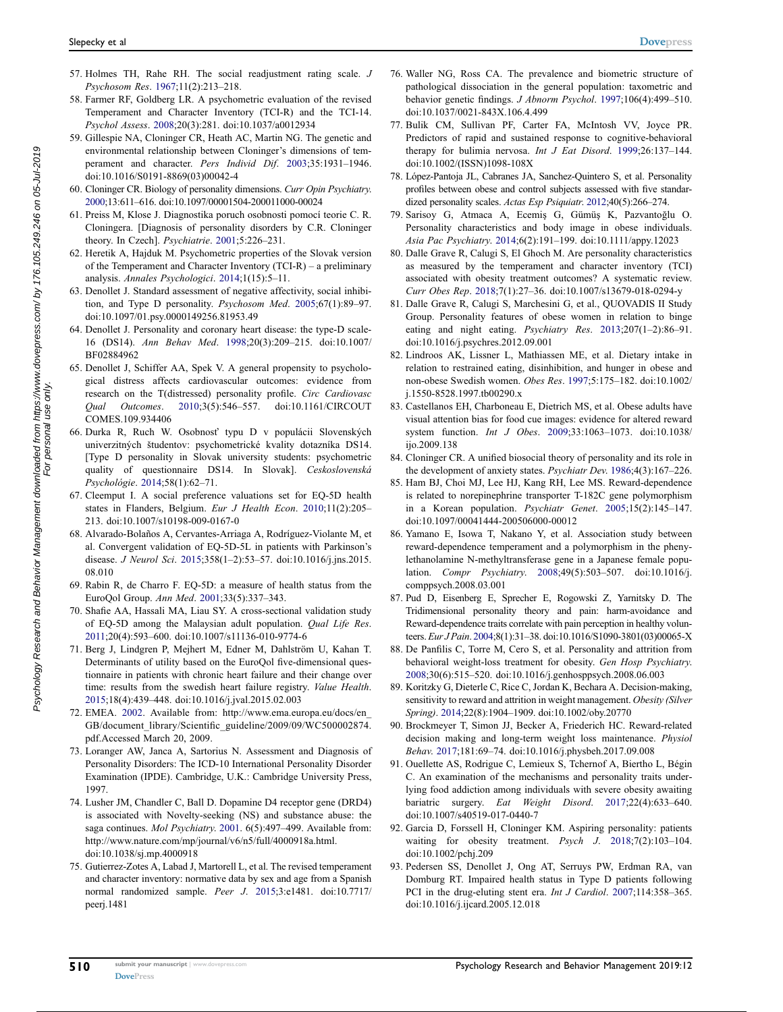- <span id="page-11-0"></span>57. Holmes TH, Rahe RH. The social readjustment rating scale. J Psychosom Res. [1967;](#page-3-0)11(2):213–218.
- <span id="page-11-1"></span>58. Farmer RF, Goldberg LR. A psychometric evaluation of the revised Temperament and Character Inventory (TCI-R) and the TCI-14. Psychol Assess. [2008](#page-3-1);20(3):281. doi:[10.1037/a0012934](https://doi.org/10.1037/a0012934)
- <span id="page-11-2"></span>59. Gillespie NA, Cloninger CR, Heath AC, Martin NG. The genetic and environmental relationship between Cloninger's dimensions of temperament and character. Pers Individ Dif. [2003](#page-3-2);35:1931–1946. doi:[10.1016/S0191-8869\(03\)00042-4](https://doi.org/10.1016/S0191-8869(03)00042-4)
- <span id="page-11-3"></span>60. Cloninger CR. Biology of personality dimensions. Curr Opin Psychiatry. [2000](#page-3-3);13:611–616. doi:[10.1097/00001504-200011000-00024](https://doi.org/10.1097/00001504-200011000-00024)
- <span id="page-11-4"></span>61. Preiss M, Klose J. Diagnostika poruch osobnosti pomocí teorie C. R. Cloningera. [Diagnosis of personality disorders by C.R. Cloninger theory. In Czech]. Psychiatrie. [2001;](#page-3-4)5:226–231.
- <span id="page-11-5"></span>62. Heretik A, Hajduk M. Psychometric properties of the Slovak version of the Temperament and Character Inventory (TCI-R) – a preliminary analysis. Annales Psychologici. [2014](#page-3-5);1(15):5–11.
- <span id="page-11-6"></span>63. Denollet J. Standard assessment of negative affectivity, social inhibition, and Type D personality. Psychosom Med. [2005;](#page-3-6)67(1):89–97. doi:[10.1097/01.psy.0000149256.81953.49](https://doi.org/10.1097/01.psy.0000149256.81953.49)
- <span id="page-11-7"></span>64. Denollet J. Personality and coronary heart disease: the type-D scale-16 (DS14). Ann Behav Med. [1998;](#page-3-7)20(3):209–215. doi:[10.1007/](https://doi.org/10.1007/BF02884962) [BF02884962](https://doi.org/10.1007/BF02884962)
- <span id="page-11-8"></span>65. Denollet J, Schiffer AA, Spek V. A general propensity to psychological distress affects cardiovascular outcomes: evidence from research on the T(distressed) personality profile. Circ Cardiovasc Qual Outcomes. [2010;](#page-3-8)3(5):546–557. doi:[10.1161/CIRCOUT](https://doi.org/10.1161/CIRCOUTCOMES.109.934406) [COMES.109.934406](https://doi.org/10.1161/CIRCOUTCOMES.109.934406)
- <span id="page-11-9"></span>66. Durka R, Ruch W. Osobnosť typu D v populácii Slovenských univerzitných študentov: psychometrické kvality dotazníka DS14. [Type D personality in Slovak university students: psychometric quality of questionnaire DS14. In Slovak]. Ceskoslovenská Psychológie. [2014](#page-3-9);58(1):62–71.
- <span id="page-11-10"></span>67. Cleemput I. A social preference valuations set for EQ-5D health states in Flanders, Belgium. Eur J Health Econ. [2010](#page-3-10);11(2):205– 213. doi:[10.1007/s10198-009-0167-0](https://doi.org/10.1007/s10198-009-0167-0)
- <span id="page-11-11"></span>68. Alvarado-Bolaños A, Cervantes-Arriaga A, Rodríguez-Violante M, et al. Convergent validation of EQ-5D-5L in patients with Parkinson's disease. J Neurol Sci. [2015;](#page-3-11)358(1–2):53–57. doi:[10.1016/j.jns.2015.](https://doi.org/10.1016/j.jns.2015.08.010) [08.010](https://doi.org/10.1016/j.jns.2015.08.010)
- 69. Rabin R, de Charro F. EQ-5D: a measure of health status from the EuroQol Group. Ann Med. 2001;33(5):337–343.
- 70. Shafie AA, Hassali MA, Liau SY. A cross-sectional validation study of EQ-5D among the Malaysian adult population. Qual Life Res. 2011;20(4):593–600. doi:[10.1007/s11136-010-9774-6](https://doi.org/10.1007/s11136-010-9774-6)
- <span id="page-11-12"></span>71. Berg J, Lindgren P, Mejhert M, Edner M, Dahlström U, Kahan T. Determinants of utility based on the EuroQol five-dimensional questionnaire in patients with chronic heart failure and their change over time: results from the swedish heart failure registry. Value Health. [2015;](#page-3-11)18(4):439–448. doi:[10.1016/j.jval.2015.02.003](https://doi.org/10.1016/j.jval.2015.02.003)
- <span id="page-11-13"></span>72. EMEA. [2002.](#page-4-0) Available from: [http://www.ema.europa.eu/docs/en\\_](http://www.ema.europa.eu/docs/en_GB/document_library/Scientific_guideline/2009/09/WC500002874.pdf) GB/document\_library/Scientifi[c\\_guideline/2009/09/WC500002874.](http://www.ema.europa.eu/docs/en_GB/document_library/Scientific_guideline/2009/09/WC500002874.pdf) [pdf](http://www.ema.europa.eu/docs/en_GB/document_library/Scientific_guideline/2009/09/WC500002874.pdf).Accessed March 20, 2009.
- <span id="page-11-14"></span>73. Loranger AW, Janca A, Sartorius N. Assessment and Diagnosis of Personality Disorders: The ICD-10 International Personality Disorder Examination (IPDE). Cambridge, U.K.: Cambridge University Press, 1997.
- <span id="page-11-15"></span>74. Lusher JM, Chandler C, Ball D. Dopamine D4 receptor gene (DRD4) is associated with Novelty-seeking (NS) and substance abuse: the saga continues. Mol Psychiatry. [2001.](#page-7-2) 6(5):497–499. Available from: [http://www.nature.com/mp/journal/v6/n5/full/4000918a.html.](http://www.nature.com/mp/journal/v6/n5/full/4000918a.html) doi:[10.1038/sj.mp.4000918](https://doi.org/10.1038/sj.mp.4000918)
- <span id="page-11-16"></span>75. Gutierrez-Zotes A, Labad J, Martorell L, et al. The revised temperament and character inventory: normative data by sex and age from a Spanish normal randomized sample. Peer J. [2015;](#page-7-3)3:e1481. doi:[10.7717/](https://doi.org/10.7717/peerj.1481) [peerj.1481](https://doi.org/10.7717/peerj.1481)
- <span id="page-11-17"></span>76. Waller NG, Ross CA. The prevalence and biometric structure of pathological dissociation in the general population: taxometric and behavior genetic findings. J Abnorm Psychol. [1997;](#page-7-4)106(4):499–510. doi:[10.1037/0021-843X.106.4.499](https://doi.org/10.1037/0021-843X.106.4.499)
- <span id="page-11-18"></span>77. Bulik CM, Sullivan PF, Carter FA, McIntosh VV, Joyce PR. Predictors of rapid and sustained response to cognitive-behavioral therapy for bulimia nervosa. Int J Eat Disord. [1999;](#page-7-4)26:137–144. doi:[10.1002/\(ISSN\)1098-108X](https://doi.org/10.1002/(ISSN)1098-108X)
- <span id="page-11-19"></span>78. López-Pantoja JL, Cabranes JA, Sanchez-Quintero S, et al. Personality profiles between obese and control subjects assessed with five standar-dized personality scales. Actas Esp Psiquiatr. [2012](#page-7-1);40(5):266-274.
- <span id="page-11-30"></span>79. Sarisoy G, Atmaca A, Ecemiş G, Gümüş K, Pazvantoğlu O. Personality characteristics and body image in obese individuals. Asia Pac Psychiatry. [2014;](#page-8-0)6(2):191–199. doi:[10.1111/appy.12023](https://doi.org/10.1111/appy.12023)
- 80. Dalle Grave R, Calugi S, El Ghoch M. Are personality characteristics as measured by the temperament and character inventory (TCI) associated with obesity treatment outcomes? A systematic review. Curr Obes Rep. 2018;7(1):27–36. doi:[10.1007/s13679-018-0294-y](https://doi.org/10.1007/s13679-018-0294-y)
- <span id="page-11-20"></span>81. Dalle Grave R, Calugi S, Marchesini G, et al., QUOVADIS II Study Group. Personality features of obese women in relation to binge eating and night eating. Psychiatry Res. [2013;](#page-7-1)207(1–2):86–91. doi:[10.1016/j.psychres.2012.09.001](https://doi.org/10.1016/j.psychres.2012.09.001)
- <span id="page-11-21"></span>82. Lindroos AK, Lissner L, Mathiassen ME, et al. Dietary intake in relation to restrained eating, disinhibition, and hunger in obese and non-obese Swedish women. Obes Res. [1997](#page-8-1);5:175–182. doi:[10.1002/](https://doi.org/10.1002/j.1550-8528.1997.tb00290.x) [j.1550-8528.1997.tb00290.x](https://doi.org/10.1002/j.1550-8528.1997.tb00290.x)
- <span id="page-11-22"></span>83. Castellanos EH, Charboneau E, Dietrich MS, et al. Obese adults have visual attention bias for food cue images: evidence for altered reward system function. Int J Obes. [2009](#page-8-1);33:1063–1073. doi:[10.1038/](https://doi.org/10.1038/ijo.2009.138) [ijo.2009.138](https://doi.org/10.1038/ijo.2009.138)
- <span id="page-11-23"></span>84. Cloninger CR. A unified biosocial theory of personality and its role in the development of anxiety states. Psychiatr Dev. [1986;](#page-8-2)4(3):167–226.
- 85. Ham BJ, Choi MJ, Lee HJ, Kang RH, Lee MS. Reward-dependence is related to norepinephrine transporter T-182C gene polymorphism in a Korean population. Psychiatr Genet. 2005;15(2):145–147. doi:[10.1097/00041444-200506000-00012](https://doi.org/10.1097/00041444-200506000-00012)
- <span id="page-11-24"></span>86. Yamano E, Isowa T, Nakano Y, et al. Association study between reward-dependence temperament and a polymorphism in the phenylethanolamine N-methyltransferase gene in a Japanese female population. Compr Psychiatry. [2008](#page-8-2);49(5):503–507. doi:[10.1016/j.](https://doi.org/10.1016/j.comppsych.2008.03.001) [comppsych.2008.03.001](https://doi.org/10.1016/j.comppsych.2008.03.001)
- <span id="page-11-25"></span>87. Pud D, Eisenberg E, Sprecher E, Rogowski Z, Yarnitsky D. The Tridimensional personality theory and pain: harm-avoidance and Reward-dependence traits correlate with pain perception in healthy volunteers. Eur J Pain. [2004;](#page-8-3)8(1):31–38. doi:[10.1016/S1090-3801\(03\)00065-X](https://doi.org/10.1016/S1090-3801(03)00065-X)
- <span id="page-11-26"></span>88. De Panfilis C, Torre M, Cero S, et al. Personality and attrition from behavioral weight-loss treatment for obesity. Gen Hosp Psychiatry. [2008](#page-8-4);30(6):515–520. doi:[10.1016/j.genhosppsych.2008.06.003](https://doi.org/10.1016/j.genhosppsych.2008.06.003)
- <span id="page-11-27"></span>89. Koritzky G, Dieterle C, Rice C, Jordan K, Bechara A. Decision-making, sensitivity to reward and attrition in weight management. Obesity (Silver Spring). [2014;](#page-8-4)22(8):1904–1909. doi:[10.1002/oby.20770](https://doi.org/10.1002/oby.20770)
- <span id="page-11-28"></span>90. Brockmeyer T, Simon JJ, Becker A, Friederich HC. Reward-related decision making and long-term weight loss maintenance. Physiol Behav. [2017;](#page-8-5)181:69–74. doi:[10.1016/j.physbeh.2017.09.008](https://doi.org/10.1016/j.physbeh.2017.09.008)
- <span id="page-11-29"></span>91. Ouellette AS, Rodrigue C, Lemieux S, Tchernof A, Biertho L, Bégin C. An examination of the mechanisms and personality traits underlying food addiction among individuals with severe obesity awaiting bariatric surgery. Eat Weight Disord. [2017;](#page-8-0)22(4):633–640. doi:[10.1007/s40519-017-0440-7](https://doi.org/10.1007/s40519-017-0440-7)
- <span id="page-11-31"></span>92. Garcia D, Forssell H, Cloninger KM. Aspiring personality: patients waiting for obesity treatment. Psych J. [2018;](#page-8-6)7(2):103-104. doi:[10.1002/pchj.209](https://doi.org/10.1002/pchj.209)
- <span id="page-11-32"></span>93. Pedersen SS, Denollet J, Ong AT, Serruys PW, Erdman RA, van Domburg RT. Impaired health status in Type D patients following PCI in the drug-eluting stent era. Int J Cardiol. [2007](#page-8-7);114:358-365. doi:[10.1016/j.ijcard.2005.12.018](https://doi.org/10.1016/j.ijcard.2005.12.018)